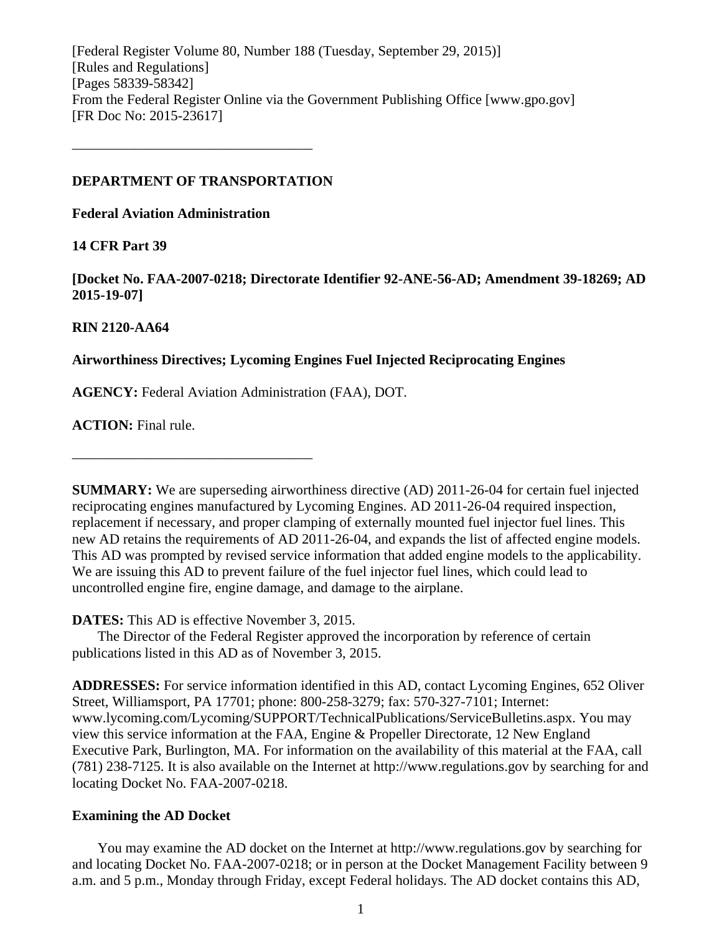[Federal Register Volume 80, Number 188 (Tuesday, September 29, 2015)] [Rules and Regulations] [Pages 58339-58342] From the Federal Register Online via the Government Publishing Office [www.gpo.gov] [FR Doc No: 2015-23617]

#### **DEPARTMENT OF TRANSPORTATION**

––––––––––––––––––––––––––––––––––

**Federal Aviation Administration**

## **14 CFR Part 39**

**[Docket No. FAA-2007-0218; Directorate Identifier 92-ANE-56-AD; Amendment 39-18269; AD 2015-19-07]**

## **RIN 2120-AA64**

## **Airworthiness Directives; Lycoming Engines Fuel Injected Reciprocating Engines**

**AGENCY:** Federal Aviation Administration (FAA), DOT.

**ACTION:** Final rule.

**SUMMARY:** We are superseding airworthiness directive (AD) 2011-26-04 for certain fuel injected reciprocating engines manufactured by Lycoming Engines. AD 2011-26-04 required inspection, replacement if necessary, and proper clamping of externally mounted fuel injector fuel lines. This new AD retains the requirements of AD 2011-26-04, and expands the list of affected engine models. This AD was prompted by revised service information that added engine models to the applicability. We are issuing this AD to prevent failure of the fuel injector fuel lines, which could lead to uncontrolled engine fire, engine damage, and damage to the airplane.

**DATES:** This AD is effective November 3, 2015.

––––––––––––––––––––––––––––––––––

The Director of the Federal Register approved the incorporation by reference of certain publications listed in this AD as of November 3, 2015.

**ADDRESSES:** For service information identified in this AD, contact Lycoming Engines, 652 Oliver Street, Williamsport, PA 17701; phone: 800-258-3279; fax: 570-327-7101; Internet: www.lycoming.com/Lycoming/SUPPORT/TechnicalPublications/ServiceBulletins.aspx. You may view this service information at the FAA, Engine & Propeller Directorate, 12 New England Executive Park, Burlington, MA. For information on the availability of this material at the FAA, call (781) 238-7125. It is also available on the Internet at http://www.regulations.gov by searching for and locating Docket No. FAA-2007-0218.

## **Examining the AD Docket**

You may examine the AD docket on the Internet at http://www.regulations.gov by searching for and locating Docket No. FAA-2007-0218; or in person at the Docket Management Facility between 9 a.m. and 5 p.m., Monday through Friday, except Federal holidays. The AD docket contains this AD,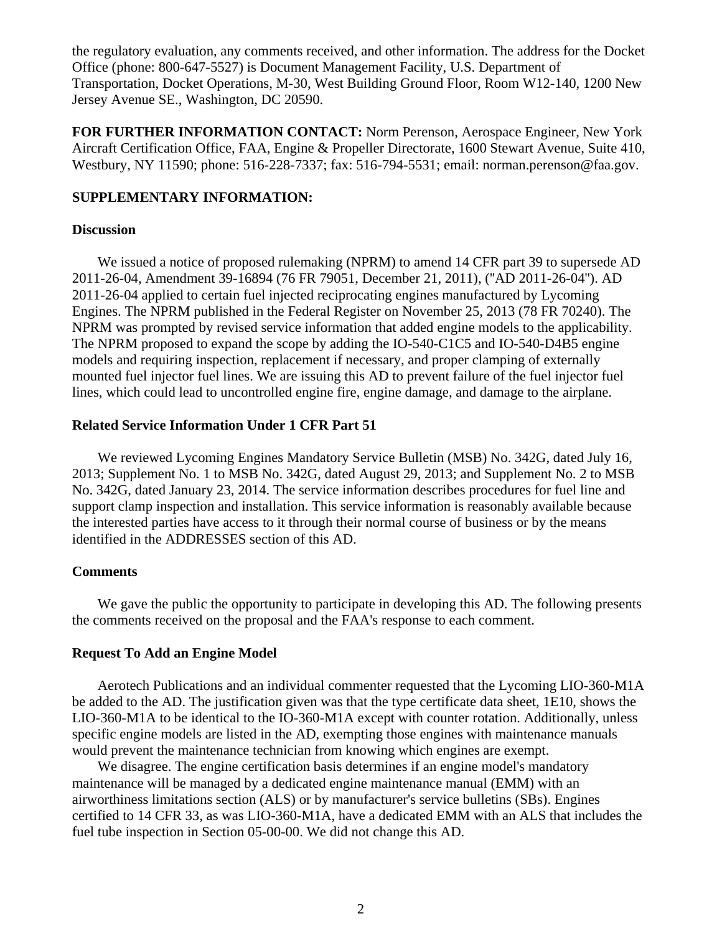the regulatory evaluation, any comments received, and other information. The address for the Docket Office (phone: 800-647-5527) is Document Management Facility, U.S. Department of Transportation, Docket Operations, M-30, West Building Ground Floor, Room W12-140, 1200 New Jersey Avenue SE., Washington, DC 20590.

**FOR FURTHER INFORMATION CONTACT:** Norm Perenson, Aerospace Engineer, New York Aircraft Certification Office, FAA, Engine & Propeller Directorate, 1600 Stewart Avenue, Suite 410, Westbury, NY 11590; phone: 516-228-7337; fax: 516-794-5531; email: norman.perenson@faa.gov.

#### **SUPPLEMENTARY INFORMATION:**

#### **Discussion**

We issued a notice of proposed rulemaking (NPRM) to amend 14 CFR part 39 to supersede AD 2011-26-04, Amendment 39-16894 (76 FR 79051, December 21, 2011), (''AD 2011-26-04''). AD 2011-26-04 applied to certain fuel injected reciprocating engines manufactured by Lycoming Engines. The NPRM published in the Federal Register on November 25, 2013 (78 FR 70240). The NPRM was prompted by revised service information that added engine models to the applicability. The NPRM proposed to expand the scope by adding the IO-540-C1C5 and IO-540-D4B5 engine models and requiring inspection, replacement if necessary, and proper clamping of externally mounted fuel injector fuel lines. We are issuing this AD to prevent failure of the fuel injector fuel lines, which could lead to uncontrolled engine fire, engine damage, and damage to the airplane.

### **Related Service Information Under 1 CFR Part 51**

We reviewed Lycoming Engines Mandatory Service Bulletin (MSB) No. 342G, dated July 16, 2013; Supplement No. 1 to MSB No. 342G, dated August 29, 2013; and Supplement No. 2 to MSB No. 342G, dated January 23, 2014. The service information describes procedures for fuel line and support clamp inspection and installation. This service information is reasonably available because the interested parties have access to it through their normal course of business or by the means identified in the ADDRESSES section of this AD.

#### **Comments**

We gave the public the opportunity to participate in developing this AD. The following presents the comments received on the proposal and the FAA's response to each comment.

#### **Request To Add an Engine Model**

Aerotech Publications and an individual commenter requested that the Lycoming LIO-360-M1A be added to the AD. The justification given was that the type certificate data sheet, 1E10, shows the LIO-360-M1A to be identical to the IO-360-M1A except with counter rotation. Additionally, unless specific engine models are listed in the AD, exempting those engines with maintenance manuals would prevent the maintenance technician from knowing which engines are exempt.

We disagree. The engine certification basis determines if an engine model's mandatory maintenance will be managed by a dedicated engine maintenance manual (EMM) with an airworthiness limitations section (ALS) or by manufacturer's service bulletins (SBs). Engines certified to 14 CFR 33, as was LIO-360-M1A, have a dedicated EMM with an ALS that includes the fuel tube inspection in Section 05-00-00. We did not change this AD.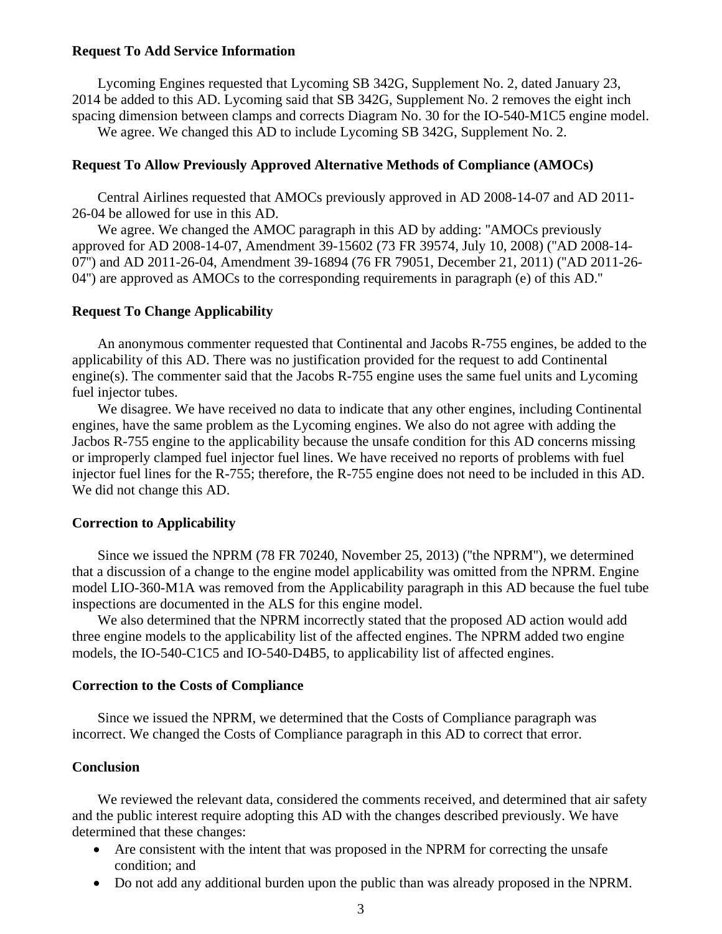#### **Request To Add Service Information**

Lycoming Engines requested that Lycoming SB 342G, Supplement No. 2, dated January 23, 2014 be added to this AD. Lycoming said that SB 342G, Supplement No. 2 removes the eight inch spacing dimension between clamps and corrects Diagram No. 30 for the IO-540-M1C5 engine model.

We agree. We changed this AD to include Lycoming SB 342G, Supplement No. 2.

#### **Request To Allow Previously Approved Alternative Methods of Compliance (AMOCs)**

Central Airlines requested that AMOCs previously approved in AD 2008-14-07 and AD 2011- 26-04 be allowed for use in this AD.

We agree. We changed the AMOC paragraph in this AD by adding: ''AMOCs previously approved for AD 2008-14-07, Amendment 39-15602 (73 FR 39574, July 10, 2008) (''AD 2008-14- 07'') and AD 2011-26-04, Amendment 39-16894 (76 FR 79051, December 21, 2011) (''AD 2011-26- 04'') are approved as AMOCs to the corresponding requirements in paragraph (e) of this AD.''

#### **Request To Change Applicability**

An anonymous commenter requested that Continental and Jacobs R-755 engines, be added to the applicability of this AD. There was no justification provided for the request to add Continental engine(s). The commenter said that the Jacobs R-755 engine uses the same fuel units and Lycoming fuel injector tubes.

We disagree. We have received no data to indicate that any other engines, including Continental engines, have the same problem as the Lycoming engines. We also do not agree with adding the Jacbos R-755 engine to the applicability because the unsafe condition for this AD concerns missing or improperly clamped fuel injector fuel lines. We have received no reports of problems with fuel injector fuel lines for the R-755; therefore, the R-755 engine does not need to be included in this AD. We did not change this AD.

#### **Correction to Applicability**

Since we issued the NPRM (78 FR 70240, November 25, 2013) (''the NPRM''), we determined that a discussion of a change to the engine model applicability was omitted from the NPRM. Engine model LIO-360-M1A was removed from the Applicability paragraph in this AD because the fuel tube inspections are documented in the ALS for this engine model.

We also determined that the NPRM incorrectly stated that the proposed AD action would add three engine models to the applicability list of the affected engines. The NPRM added two engine models, the IO-540-C1C5 and IO-540-D4B5, to applicability list of affected engines.

#### **Correction to the Costs of Compliance**

Since we issued the NPRM, we determined that the Costs of Compliance paragraph was incorrect. We changed the Costs of Compliance paragraph in this AD to correct that error.

#### **Conclusion**

We reviewed the relevant data, considered the comments received, and determined that air safety and the public interest require adopting this AD with the changes described previously. We have determined that these changes:

- Are consistent with the intent that was proposed in the NPRM for correcting the unsafe condition; and
- Do not add any additional burden upon the public than was already proposed in the NPRM.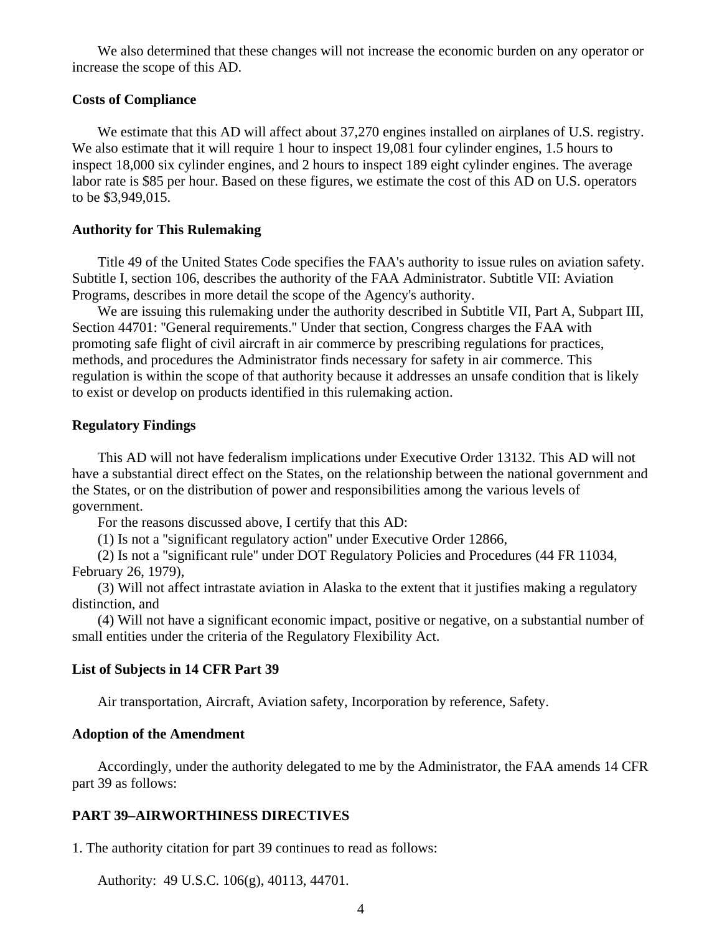We also determined that these changes will not increase the economic burden on any operator or increase the scope of this AD.

#### **Costs of Compliance**

We estimate that this AD will affect about 37,270 engines installed on airplanes of U.S. registry. We also estimate that it will require 1 hour to inspect 19,081 four cylinder engines, 1.5 hours to inspect 18,000 six cylinder engines, and 2 hours to inspect 189 eight cylinder engines. The average labor rate is \$85 per hour. Based on these figures, we estimate the cost of this AD on U.S. operators to be \$3,949,015.

#### **Authority for This Rulemaking**

Title 49 of the United States Code specifies the FAA's authority to issue rules on aviation safety. Subtitle I, section 106, describes the authority of the FAA Administrator. Subtitle VII: Aviation Programs, describes in more detail the scope of the Agency's authority.

We are issuing this rulemaking under the authority described in Subtitle VII, Part A, Subpart III, Section 44701: ''General requirements.'' Under that section, Congress charges the FAA with promoting safe flight of civil aircraft in air commerce by prescribing regulations for practices, methods, and procedures the Administrator finds necessary for safety in air commerce. This regulation is within the scope of that authority because it addresses an unsafe condition that is likely to exist or develop on products identified in this rulemaking action.

#### **Regulatory Findings**

This AD will not have federalism implications under Executive Order 13132. This AD will not have a substantial direct effect on the States, on the relationship between the national government and the States, or on the distribution of power and responsibilities among the various levels of government.

For the reasons discussed above, I certify that this AD:

(1) Is not a ''significant regulatory action'' under Executive Order 12866,

(2) Is not a ''significant rule'' under DOT Regulatory Policies and Procedures (44 FR 11034, February 26, 1979),

(3) Will not affect intrastate aviation in Alaska to the extent that it justifies making a regulatory distinction, and

(4) Will not have a significant economic impact, positive or negative, on a substantial number of small entities under the criteria of the Regulatory Flexibility Act.

#### **List of Subjects in 14 CFR Part 39**

Air transportation, Aircraft, Aviation safety, Incorporation by reference, Safety.

#### **Adoption of the Amendment**

Accordingly, under the authority delegated to me by the Administrator, the FAA amends 14 CFR part 39 as follows:

#### **PART 39–AIRWORTHINESS DIRECTIVES**

1. The authority citation for part 39 continues to read as follows:

Authority: 49 U.S.C. 106(g), 40113, 44701.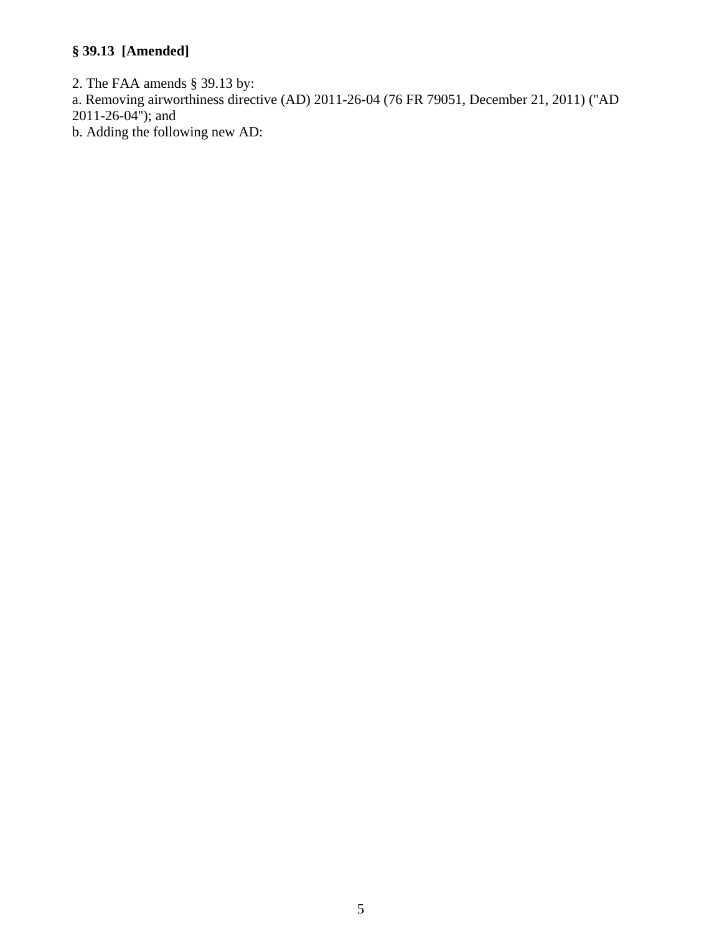## **§ 39.13 [Amended]**

2. The FAA amends § 39.13 by:

a. Removing airworthiness directive (AD) 2011-26-04 (76 FR 79051, December 21, 2011) (''AD 2011-26-04''); and

b. Adding the following new AD: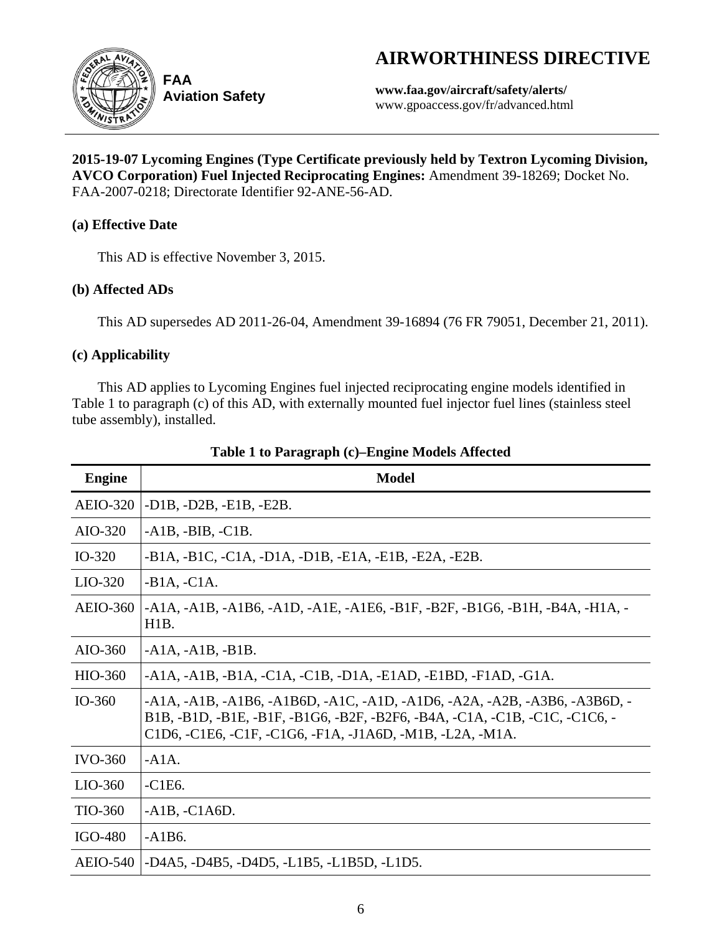# **AIRWORTHINESS DIRECTIVE**



**Aviation Safety**

**www.faa.gov/aircraft/safety/alerts/** www.gpoaccess.gov/fr/advanced.html

**2015-19-07 Lycoming Engines (Type Certificate previously held by Textron Lycoming Division, AVCO Corporation) Fuel Injected Reciprocating Engines:** Amendment 39-18269; Docket No. FAA-2007-0218; Directorate Identifier 92-ANE-56-AD.

## **(a) Effective Date**

This AD is effective November 3, 2015.

## **(b) Affected ADs**

This AD supersedes AD 2011-26-04, Amendment 39-16894 (76 FR 79051, December 21, 2011).

## **(c) Applicability**

This AD applies to Lycoming Engines fuel injected reciprocating engine models identified in Table 1 to paragraph (c) of this AD, with externally mounted fuel injector fuel lines (stainless steel tube assembly), installed.

| <b>Engine</b>   | <b>Model</b>                                                                                                                                                                                                                                                   |
|-----------------|----------------------------------------------------------------------------------------------------------------------------------------------------------------------------------------------------------------------------------------------------------------|
| <b>AEIO-320</b> | $-D1B, -D2B, -E1B, -E2B.$                                                                                                                                                                                                                                      |
| AIO-320         | $-A1B$ , $-BIB$ , $-C1B$ .                                                                                                                                                                                                                                     |
| $IO-320$        | -B1A, -B1C, -C1A, -D1A, -D1B, -E1A, -E1B, -E2A, -E2B.                                                                                                                                                                                                          |
| $LIO-320$       | $-B1A, -C1A.$                                                                                                                                                                                                                                                  |
| <b>AEIO-360</b> | $-A1A$ , $-A1B$ , $-A1B6$ , $-A1D$ , $-A1E$ , $-A1E6$ , $-B1F$ , $-B2F$ , $-B1G6$ , $-B1H$ , $-B4A$ , $-H1A$ , $-A1B6$<br>H <sub>1</sub> B.                                                                                                                    |
| AIO-360         | $-A1A, -A1B, -B1B.$                                                                                                                                                                                                                                            |
| HIO-360         | -A1A, -A1B, -B1A, -C1A, -C1B, -D1A, -E1AD, -E1BD, -F1AD, -G1A.                                                                                                                                                                                                 |
| $IO-360$        | $-A1A$ , $-A1B$ , $-A1B6$ , $-A1B6D$ , $-A1C$ , $-A1D$ , $-A1D6$ , $-A2A$ , $-A2B$ , $-A3B6$ , $-A3B6D$ , $-A1B6D$<br>B1B, -B1D, -B1E, -B1F, -B1G6, -B2F, -B2F6, -B4A, -C1A, -C1B, -C1C, -C1C6, -<br>C1D6, -C1E6, -C1F, -C1G6, -F1A, -J1A6D, -M1B, -L2A, -M1A. |
| $IVO-360$       | $-A1A.$                                                                                                                                                                                                                                                        |
| $LIO-360$       | $-C1E6.$                                                                                                                                                                                                                                                       |
| TIO-360         | $-A1B$ , $-C1A6D$ .                                                                                                                                                                                                                                            |
| IGO-480         | $-A1B6.$                                                                                                                                                                                                                                                       |
| <b>AEIO-540</b> | -D4A5, -D4B5, -D4D5, -L1B5, -L1B5D, -L1D5.                                                                                                                                                                                                                     |

## **Table 1 to Paragraph (c)–Engine Models Affected**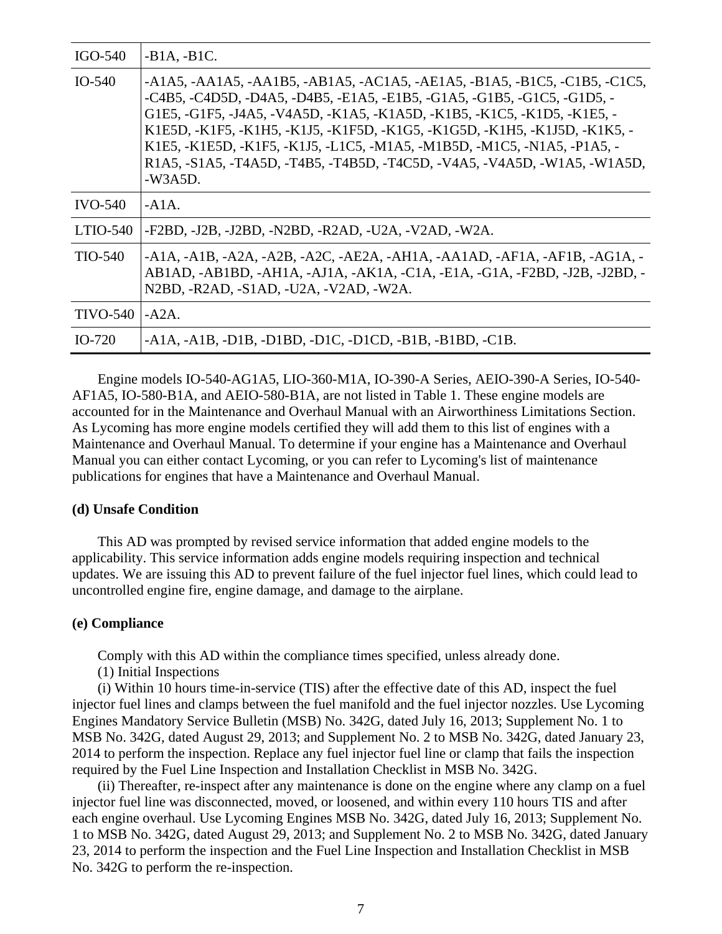| IGO-540           | $-B1A, -B1C.$                                                                                                                                                                                                                                                                                                                                                                                                                                                                                                                                                                  |
|-------------------|--------------------------------------------------------------------------------------------------------------------------------------------------------------------------------------------------------------------------------------------------------------------------------------------------------------------------------------------------------------------------------------------------------------------------------------------------------------------------------------------------------------------------------------------------------------------------------|
| $IO-540$          | $-A1A5, -AA1A5, -AA1B5, -AB1A5, -AC1A5, -BE1A5, -B1A5, -B1C5, -C1B5, -C1C5,$<br>$-C4B5$ , $-C4D5D$ , $-D4A5$ , $-D4B5$ , $-E1A5$ , $-E1B5$ , $-G1A5$ , $-G1B5$ , $-G1C5$ , $-G1D5$ , $-D4A5$ , $-D4B5$ , $-E1A5$ , $-G1A5$ , $-G1B5$ , $-G1C5$<br>G1E5, -G1F5, -J4A5, -V4A5D, -K1A5, -K1A5D, -K1B5, -K1C5, -K1D5, -K1E5, -<br>K1E5D, -K1F5, -K1H5, -K1J5, -K1F5D, -K1G5, -K1G5D, -K1H5, -K1J5D, -K1K5, -<br>K1E5, -K1E5D, -K1F5, -K1J5, -L1C5, -M1A5, -M1B5D, -M1C5, -N1A5, -P1A5, -<br>R1A5, -S1A5, -T4A5D, -T4B5, -T4B5D, -T4C5D, -V4A5, -V4A5D, -W1A5, -W1A5D,<br>$-W3A5D.$ |
| $IVO-540$         | $-A1A$ .                                                                                                                                                                                                                                                                                                                                                                                                                                                                                                                                                                       |
| $LTIO-540$        | -F2BD, -J2B, -J2BD, -N2BD, -R2AD, -U2A, -V2AD, -W2A.                                                                                                                                                                                                                                                                                                                                                                                                                                                                                                                           |
| TIO-540           | $-A1A$ , $-A1B$ , $-A2A$ , $-A2B$ , $-A2C$ , $-AE2A$ , $-AH1A$ , $-AA1AD$ , $-AF1A$ , $-AF1B$ , $-AG1A$ , $-$<br>AB1AD, -AB1BD, -AH1A, -AJ1A, -AK1A, -C1A, -E1A, -G1A, -F2BD, -J2B, -J2BD, -<br>N2BD, -R2AD, -S1AD, -U2A, -V2AD, -W2A.                                                                                                                                                                                                                                                                                                                                         |
| <b>TIVO-540</b> 1 | $-A2A$ .                                                                                                                                                                                                                                                                                                                                                                                                                                                                                                                                                                       |
| $IO-720$          | $-A1A, -A1B, -D1B, -D1BD, -D1C, -D1CD, -B1B, -B1BD, -C1B.$                                                                                                                                                                                                                                                                                                                                                                                                                                                                                                                     |

Engine models IO-540-AG1A5, LIO-360-M1A, IO-390-A Series, AEIO-390-A Series, IO-540- AF1A5, IO-580-B1A, and AEIO-580-B1A, are not listed in Table 1. These engine models are accounted for in the Maintenance and Overhaul Manual with an Airworthiness Limitations Section. As Lycoming has more engine models certified they will add them to this list of engines with a Maintenance and Overhaul Manual. To determine if your engine has a Maintenance and Overhaul Manual you can either contact Lycoming, or you can refer to Lycoming's list of maintenance publications for engines that have a Maintenance and Overhaul Manual.

#### **(d) Unsafe Condition**

This AD was prompted by revised service information that added engine models to the applicability. This service information adds engine models requiring inspection and technical updates. We are issuing this AD to prevent failure of the fuel injector fuel lines, which could lead to uncontrolled engine fire, engine damage, and damage to the airplane.

#### **(e) Compliance**

Comply with this AD within the compliance times specified, unless already done.

(1) Initial Inspections

(i) Within 10 hours time-in-service (TIS) after the effective date of this AD, inspect the fuel injector fuel lines and clamps between the fuel manifold and the fuel injector nozzles. Use Lycoming Engines Mandatory Service Bulletin (MSB) No. 342G, dated July 16, 2013; Supplement No. 1 to MSB No. 342G, dated August 29, 2013; and Supplement No. 2 to MSB No. 342G, dated January 23, 2014 to perform the inspection. Replace any fuel injector fuel line or clamp that fails the inspection required by the Fuel Line Inspection and Installation Checklist in MSB No. 342G.

(ii) Thereafter, re-inspect after any maintenance is done on the engine where any clamp on a fuel injector fuel line was disconnected, moved, or loosened, and within every 110 hours TIS and after each engine overhaul. Use Lycoming Engines MSB No. 342G, dated July 16, 2013; Supplement No. 1 to MSB No. 342G, dated August 29, 2013; and Supplement No. 2 to MSB No. 342G, dated January 23, 2014 to perform the inspection and the Fuel Line Inspection and Installation Checklist in MSB No. 342G to perform the re-inspection.